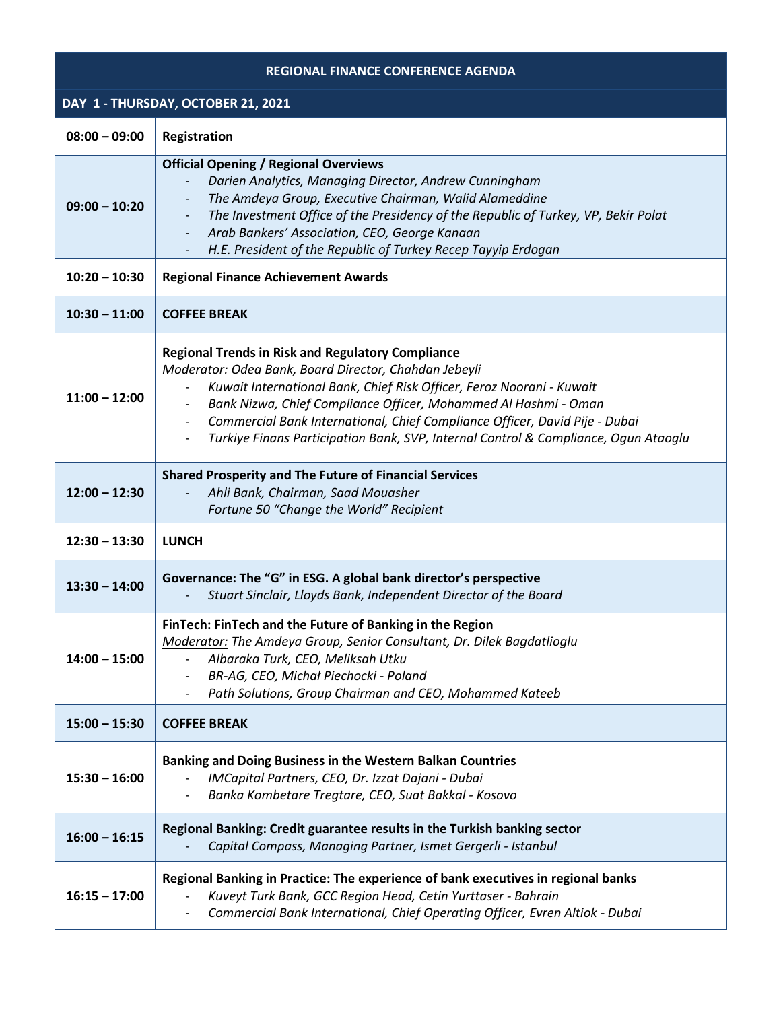| <b>REGIONAL FINANCE CONFERENCE AGENDA</b> |                                                                                                                                                                                                                                                                                                                                                                                                                                                                 |  |
|-------------------------------------------|-----------------------------------------------------------------------------------------------------------------------------------------------------------------------------------------------------------------------------------------------------------------------------------------------------------------------------------------------------------------------------------------------------------------------------------------------------------------|--|
| DAY 1 - THURSDAY, OCTOBER 21, 2021        |                                                                                                                                                                                                                                                                                                                                                                                                                                                                 |  |
| $08:00 - 09:00$                           | Registration                                                                                                                                                                                                                                                                                                                                                                                                                                                    |  |
| $09:00 - 10:20$                           | <b>Official Opening / Regional Overviews</b><br>Darien Analytics, Managing Director, Andrew Cunningham<br>The Amdeya Group, Executive Chairman, Walid Alameddine<br>The Investment Office of the Presidency of the Republic of Turkey, VP, Bekir Polat<br>Arab Bankers' Association, CEO, George Kanaan<br>$\overline{\phantom{a}}$<br>H.E. President of the Republic of Turkey Recep Tayyip Erdogan                                                            |  |
| $10:20 - 10:30$                           | <b>Regional Finance Achievement Awards</b>                                                                                                                                                                                                                                                                                                                                                                                                                      |  |
| $10:30 - 11:00$                           | <b>COFFEE BREAK</b>                                                                                                                                                                                                                                                                                                                                                                                                                                             |  |
| $11:00 - 12:00$                           | <b>Regional Trends in Risk and Regulatory Compliance</b><br>Moderator: Odea Bank, Board Director, Chahdan Jebeyli<br>Kuwait International Bank, Chief Risk Officer, Feroz Noorani - Kuwait<br>Bank Nizwa, Chief Compliance Officer, Mohammed Al Hashmi - Oman<br>Commercial Bank International, Chief Compliance Officer, David Pije - Dubai<br>$\overline{\phantom{a}}$<br>Turkiye Finans Participation Bank, SVP, Internal Control & Compliance, Ogun Ataoglu |  |
| $12:00 - 12:30$                           | <b>Shared Prosperity and The Future of Financial Services</b><br>Ahli Bank, Chairman, Saad Mouasher<br>Fortune 50 "Change the World" Recipient                                                                                                                                                                                                                                                                                                                  |  |
| $12:30 - 13:30$                           | <b>LUNCH</b>                                                                                                                                                                                                                                                                                                                                                                                                                                                    |  |
| $13:30 - 14:00$                           | Governance: The "G" in ESG. A global bank director's perspective<br>Stuart Sinclair, Lloyds Bank, Independent Director of the Board                                                                                                                                                                                                                                                                                                                             |  |
| $14:00 - 15:00$                           | FinTech: FinTech and the Future of Banking in the Region<br>Moderator: The Amdeya Group, Senior Consultant, Dr. Dilek Bagdatlioglu<br>Albaraka Turk, CEO, Meliksah Utku<br>BR-AG, CEO, Michał Piechocki - Poland<br>Path Solutions, Group Chairman and CEO, Mohammed Kateeb                                                                                                                                                                                     |  |
| $15:00 - 15:30$                           | <b>COFFEE BREAK</b>                                                                                                                                                                                                                                                                                                                                                                                                                                             |  |
| $15:30 - 16:00$                           | <b>Banking and Doing Business in the Western Balkan Countries</b><br>IMCapital Partners, CEO, Dr. Izzat Dajani - Dubai<br>Banka Kombetare Tregtare, CEO, Suat Bakkal - Kosovo                                                                                                                                                                                                                                                                                   |  |
| $16:00 - 16:15$                           | Regional Banking: Credit guarantee results in the Turkish banking sector<br>Capital Compass, Managing Partner, Ismet Gergerli - Istanbul                                                                                                                                                                                                                                                                                                                        |  |
| $16:15 - 17:00$                           | Regional Banking in Practice: The experience of bank executives in regional banks<br>Kuveyt Turk Bank, GCC Region Head, Cetin Yurttaser - Bahrain<br>Commercial Bank International, Chief Operating Officer, Evren Altiok - Dubai                                                                                                                                                                                                                               |  |